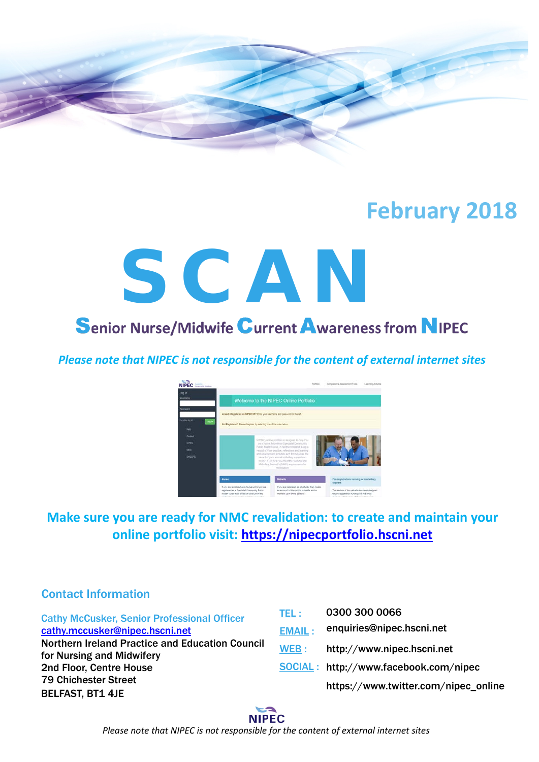

# **February 2018**

# **Senior Nurse/Midwife Current Awareness from NIPEC**

*Please note that NIPEC is not responsible for the content of external internet sites*



## **Make sure you are ready for NMC revalidation: to create and maintain your online portfolio visit: [https://nipecportfolio.hscni.net](https://nipecportfolio.hscni.net/)**

#### Contact Information

Cathy McCusker, Senior Professional Officer [cathy.mccusker@nipec.hscni.net](mailto:cathy.mccusker@nipec.hscni.net) Northern Ireland Practice and Education Council for Nursing and Midwifery 2nd Floor, Centre House 79 Chichester Street BELFAST, BT1 4JE TEL : EMAIL : WEB : SOCIAL: http://www.facebook.com/nipec 0300 300 0066 enquiries@nipec.hscni.net http://www.nipec.hscni.net https://www.twitter.com/nipec\_online

> **NIPEC** *Please note that NIPEC is not responsible for the content of external internet sites*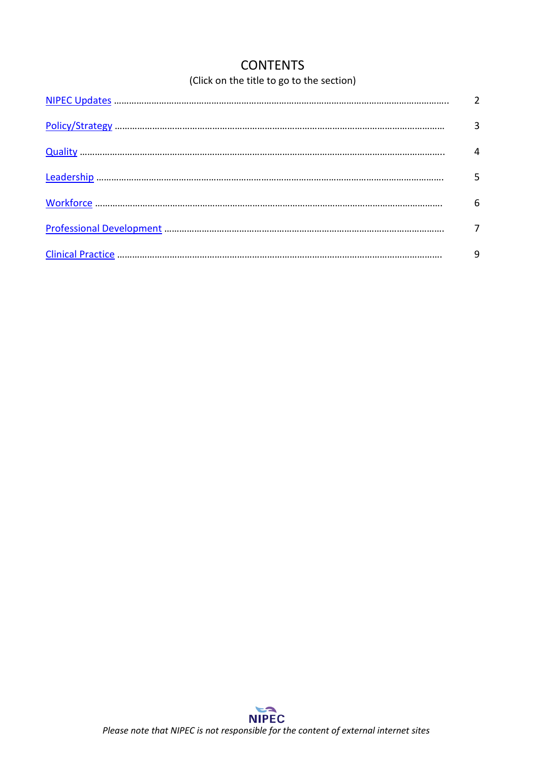## **CONTENTS**

### (Click on the title to go to the section)

<span id="page-1-0"></span>

| 6 |
|---|
|   |
|   |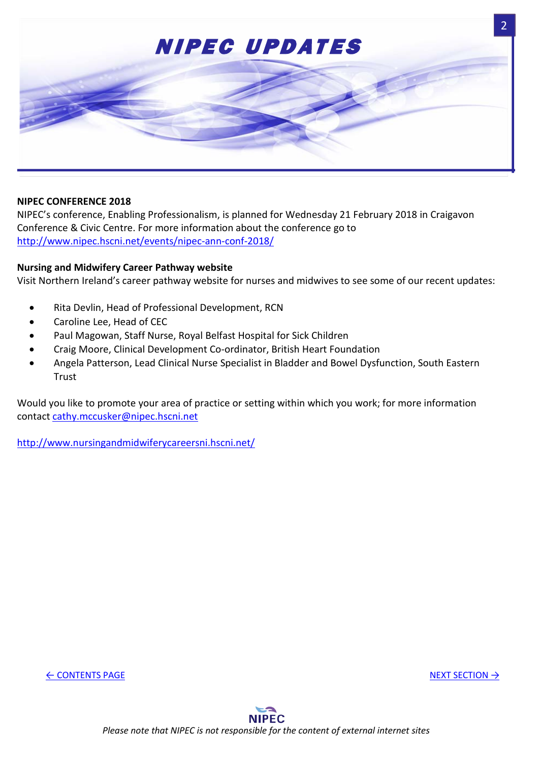

#### **NIPEC CONFERENCE 2018**

NIPEC's conference, Enabling Professionalism, is planned for Wednesday 21 February 2018 in Craigavon Conference & Civic Centre. For more information about the conference go to <http://www.nipec.hscni.net/events/nipec-ann-conf-2018/>

#### **Nursing and Midwifery Career Pathway website**

Visit Northern Ireland's career pathway website for nurses and midwives to see some of our recent updates:

- Rita Devlin, Head of Professional Development, RCN
- Caroline Lee, Head of CEC
- Paul Magowan, Staff Nurse, Royal Belfast Hospital for Sick Children
- Craig Moore, Clinical Development Co-ordinator, British Heart Foundation
- Angela Patterson, Lead Clinical Nurse Specialist in Bladder and Bowel Dysfunction, South Eastern **Trust**

Would you like to promote your area of practice or setting within which you work; for more information contact [cathy.mccusker@nipec.hscni.net](mailto:cathy.mccusker@nipec.hscni.net)

<http://www.nursingandmidwiferycareersni.hscni.net/>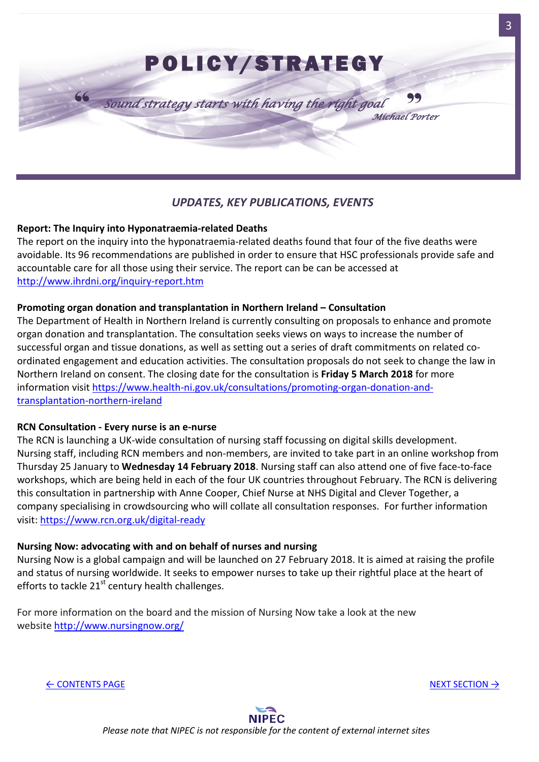<span id="page-3-0"></span>

#### *UPDATES, KEY PUBLICATIONS, EVENTS*

#### **Report: The Inquiry into Hyponatraemia-related Deaths**

The report on the inquiry into the hyponatraemia-related deaths found that four of the five deaths were avoidable. Its 96 recommendations are published in order to ensure that HSC professionals provide safe and accountable care for all those using their service. The report can be can be accessed at <http://www.ihrdni.org/inquiry-report.htm>

#### **Promoting organ donation and transplantation in Northern Ireland – Consultation**

The Department of Health in Northern Ireland is currently consulting on proposals to enhance and promote organ donation and transplantation. The consultation seeks views on ways to increase the number of successful organ and tissue donations, as well as setting out a series of draft commitments on related coordinated engagement and education activities. The consultation proposals do not seek to change the law in Northern Ireland on consent. The closing date for the consultation is **Friday 5 March 2018** for more information visit [https://www.health-ni.gov.uk/consultations/promoting-organ-donation-and](https://www.health-ni.gov.uk/consultations/promoting-organ-donation-and-transplantation-northern-ireland)[transplantation-northern-ireland](https://www.health-ni.gov.uk/consultations/promoting-organ-donation-and-transplantation-northern-ireland)

#### **RCN Consultation - Every nurse is an e-nurse**

The RCN is launching a UK-wide consultation of nursing staff focussing on digital skills development. Nursing staff, including RCN members and non-members, are invited to take part in an online workshop from Thursday 25 January to **Wednesday 14 February 2018**. Nursing staff can also attend one of five face-to-face workshops, which are being held in each of the four UK countries throughout February. The RCN is delivering this consultation in partnership with Anne Cooper, Chief Nurse at NHS Digital and Clever Together, a company specialising in crowdsourcing who will collate all consultation responses. For further information visit:<https://www.rcn.org.uk/digital-ready>

#### **Nursing Now: advocating with and on behalf of nurses and nursing**

Nursing Now is a global campaign and will be launched on 27 February 2018. It is aimed at raising the profile and status of nursing worldwide. It seeks to empower nurses to take up their rightful place at the heart of efforts to tackle  $21<sup>st</sup>$  century health challenges.

For more information on the board and the mission of Nursing Now take a look at the new website<http://www.nursingnow.org/>

← [CONTENTS PAGE](#page-1-0) [NEXT SECTION](#page-4-0) →

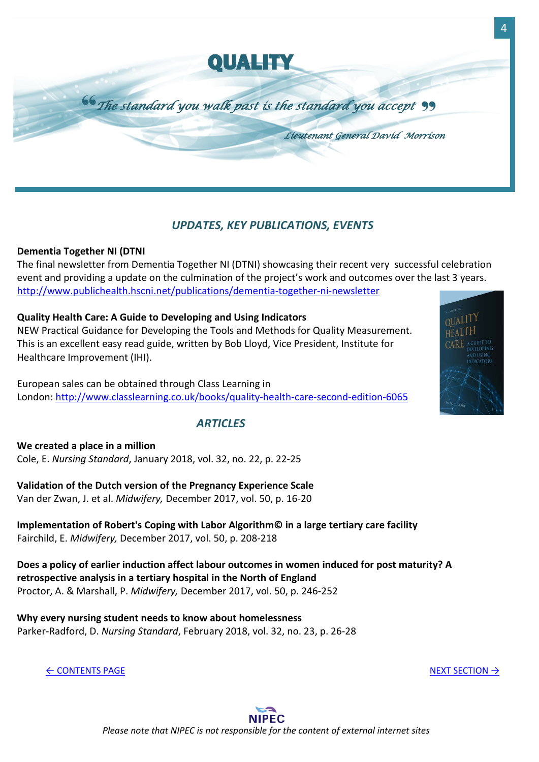

#### <span id="page-4-0"></span>*UPDATES, KEY PUBLICATIONS, EVENTS*

#### **Dementia Together NI (DTNI**

The final newsletter from Dementia Together NI (DTNI) showcasing their recent very successful celebration event and providing a update on the culmination of the project's work and outcomes over the last 3 years. <http://www.publichealth.hscni.net/publications/dementia-together-ni-newsletter>

#### **Quality Health Care: A Guide to Developing and Using Indicators**

NEW Practical Guidance for Developing the Tools and Methods for Quality Measurement. This is an excellent easy read guide, written by Bob Lloyd, Vice President, Institute for Healthcare Improvement (IHI).

European sales can be obtained through Class Learning in London:<http://www.classlearning.co.uk/books/quality-health-care-second-edition-6065>

#### *ARTICLES*

**We created a place in a million** Cole, E. *Nursing Standard*, January 2018, vol. 32, no. 22, p. 22-25

**Validation of the Dutch version of the Pregnancy Experience Scale** Van der Zwan, J. et al. *Midwifery,* December 2017, vol. 50, p. 16-20

**Implementation of Robert's Coping with Labor Algorithm© in a large tertiary care facility** Fairchild, E. *Midwifery,* December 2017, vol. 50, p. 208-218

**Does a policy of earlier induction affect labour outcomes in women induced for post maturity? A retrospective analysis in a tertiary hospital in the North of England** Proctor, A. & Marshall, P. *Midwifery,* December 2017, vol. 50, p. 246-252

**Why every nursing student needs to know about homelessness** Parker-Radford, D. *Nursing Standard*, February 2018, vol. 32, no. 23, p. 26-28

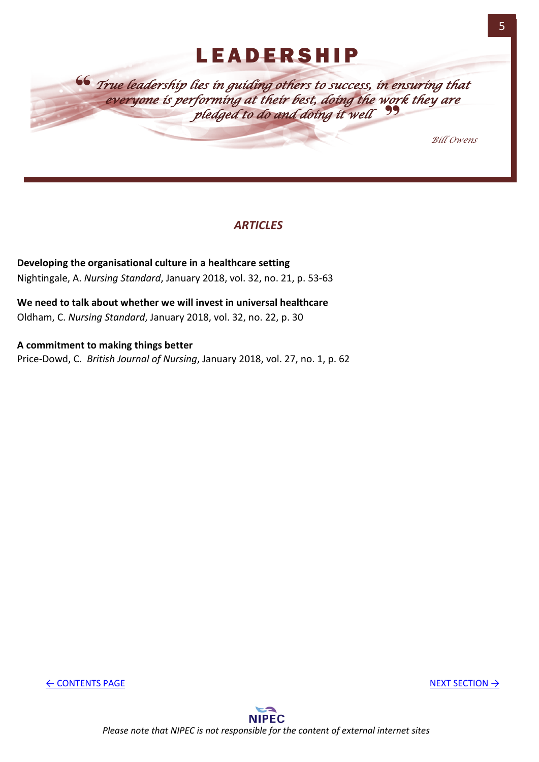## LEADERSHIP

<span id="page-5-0"></span>" *True leadership lies in guiding others to success, in ensuring that*  " *everyone is performing at their best, doing the work they are pledged to do and doing it well*

*Bill Owens* 

#### *ARTICLES*

**Developing the organisational culture in a healthcare setting** Nightingale, A. *Nursing Standard*, January 2018, vol. 32, no. 21, p. 53-63

**We need to talk about whether we will invest in universal healthcare** Oldham, C. *Nursing Standard*, January 2018, vol. 32, no. 22, p. 30

**A commitment to making things better** Price-Dowd, C. *British Journal of Nursing*, January 2018, vol. 27, no. 1, p. 62

← [CONTENTS PAGE](#page-1-0) [NEXT SECTION](#page-6-0) → NEXT SECTION → NEXT SECTION → NEXT SECTION → NEXT SECTION → NEXT SECTION → NEXT SECTION → NEXT SECTION → NEXT SECTION → NEXT SECTION → NEXT SECTION → NEXT SECTION → NEXT SECTION → NEXT SECTI

**NIPEC** *Please note that NIPEC is not responsible for the content of external internet sites*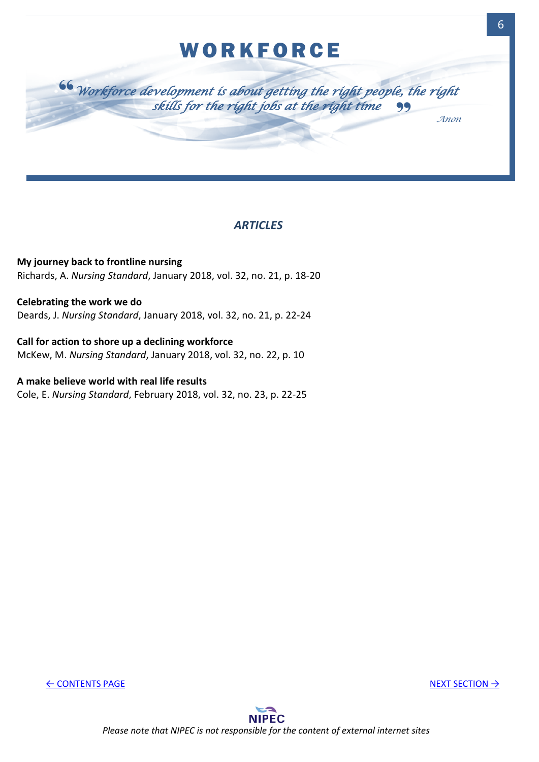## **WORKFORCE**

<span id="page-6-0"></span>

#### *ARTICLES*

**My journey back to frontline nursing** Richards, A. *Nursing Standard*, January 2018, vol. 32, no. 21, p. 18-20

**Celebrating the work we do** Deards, J. *Nursing Standard*, January 2018, vol. 32, no. 21, p. 22-24

**Call for action to shore up a declining workforce** McKew, M. *Nursing Standard*, January 2018, vol. 32, no. 22, p. 10

**A make believe world with real life results** Cole, E. *Nursing Standard*, February 2018, vol. 32, no. 23, p. 22-25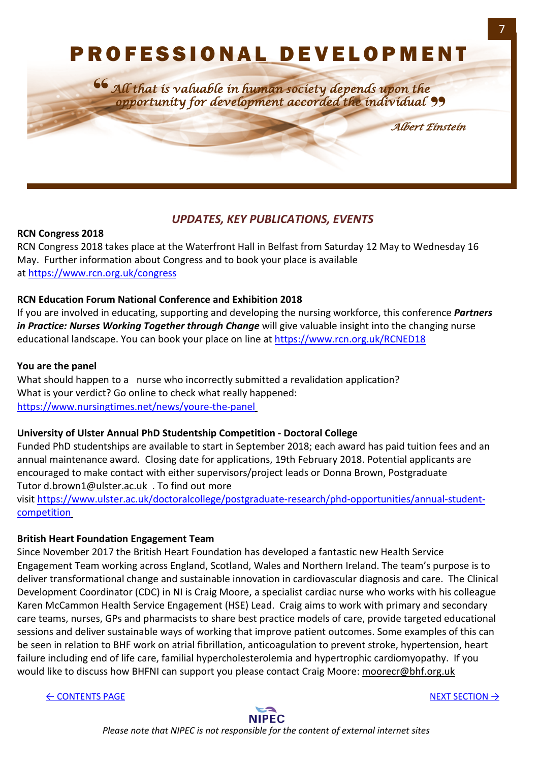# <span id="page-7-0"></span>PROFESSIONAL DEVELOPMENT

*All that is valuable in human society depends upon the opportunity for development accorded the individual* " 66<br>=

*Albert Einstein*

#### *UPDATES, KEY PUBLICATIONS, EVENTS*

#### **RCN Congress 2018**

RCN Congress 2018 takes place at the Waterfront Hall in Belfast from Saturday 12 May to Wednesday 16 May. Further information about Congress and to book your place is available at <https://www.rcn.org.uk/congress>

#### **RCN Education Forum National Conference and Exhibition 2018**

If you are involved in educating, supporting and developing the nursing workforce, this conference *Partners*  in Practice: Nurses Working Together through Change will give valuable insight into the changing nurse educational landscape. You can book your place on line at<https://www.rcn.org.uk/RCNED18>

#### **You are the panel**

What should happen to a nurse who incorrectly submitted a revalidation application? What is your verdict? Go online to check what really happened: <https://www.nursingtimes.net/news/youre-the-panel>

#### **University of Ulster Annual PhD Studentship Competition - Doctoral College**

Funded PhD studentships are available to start in September 2018; each award has paid tuition fees and an annual maintenance award. Closing date for applications, 19th February 2018. Potential applicants are encouraged to make contact with either supervisors/project leads or Donna Brown, Postgraduate Tutor [d.brown1@ulster.ac.uk](mailto:d.brown1@ulster.ac.uk) . To find out more

visit [https://www.ulster.ac.uk/doctoralcollege/postgraduate-research/phd-opportunities/annual-student](https://www.ulster.ac.uk/doctoralcollege/postgraduate-research/phd-opportunities/annual-student-competition)[competition](https://www.ulster.ac.uk/doctoralcollege/postgraduate-research/phd-opportunities/annual-student-competition)

#### **British Heart Foundation Engagement Team**

Since November 2017 the British Heart Foundation has developed a fantastic new Health Service Engagement Team working across England, Scotland, Wales and Northern Ireland. The team's purpose is to deliver transformational change and sustainable innovation in cardiovascular diagnosis and care. The Clinical Development Coordinator (CDC) in NI is Craig Moore, a specialist cardiac nurse who works with his colleague Karen McCammon Health Service Engagement (HSE) Lead. Craig aims to work with primary and secondary care teams, nurses, GPs and pharmacists to share best practice models of care, provide targeted educational sessions and deliver sustainable ways of working that improve patient outcomes. Some examples of this can be seen in relation to BHF work on atrial fibrillation, anticoagulation to prevent stroke, hypertension, heart failure including end of life care, familial hypercholesterolemia and hypertrophic cardiomyopathy. If you would like to discuss how BHFNI can support you please contact Craig Moore: [moorecr@bhf.org.uk](mailto:moorecr@bhf.org.uk)

← [CONTENTS PAGE](#page-1-0) [NEXT SECTION](#page-9-0) → NEXT SECTION → NEXT SECTION → NEXT SECTION → NEXT SECTION → NEXT SECTION → NEXT SECTION → NEXT SECTION → NEXT SECTION → NEXT SECTION → NEXT SECTION → NEXT SECTION → NEXT SECTION → NEXT SECTI

**NIPEC** 

*Please note that NIPEC is not responsible for the content of external internet sites*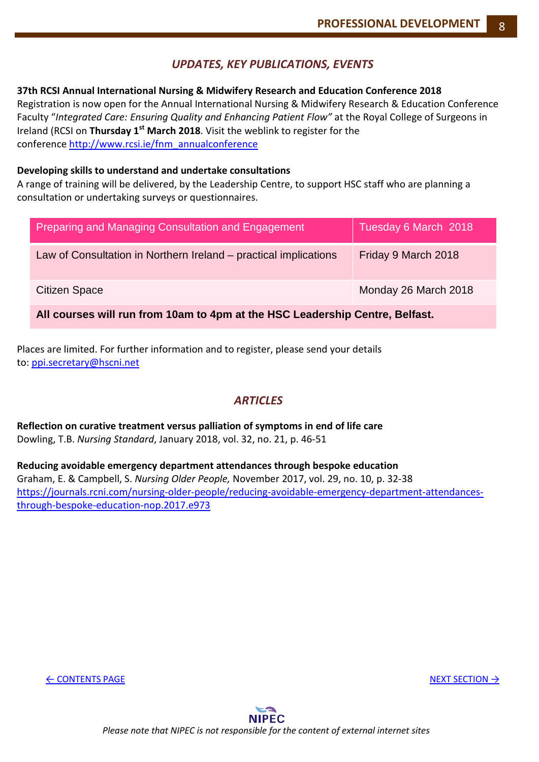#### *UPDATES, KEY PUBLICATIONS, EVENTS*

#### **37th RCSI Annual International Nursing & Midwifery Research and Education Conference 2018**

Registration is now open for the Annual International Nursing & Midwifery Research & Education Conference Faculty "*Integrated Care: Ensuring Quality and Enhancing Patient Flow"* at the Royal College of Surgeons in Ireland (RCSI on **Thursday 1st March 2018**. Visit the weblink to register for the conference [http://www.rcsi.ie/fnm\\_annualconference](http://www.rcsi.ie/fnm_annualconference) 

#### **Developing skills to understand and undertake consultations**

A range of training will be delivered, by the Leadership Centre, to support HSC staff who are planning a consultation or undertaking surveys or questionnaires.

| Preparing and Managing Consultation and Engagement                           | Tuesday 6 March 2018 |  |
|------------------------------------------------------------------------------|----------------------|--|
| Law of Consultation in Northern Ireland – practical implications             | Friday 9 March 2018  |  |
| Citizen Space                                                                | Monday 26 March 2018 |  |
| All courses will run from 10am to 4pm at the HSC Leadership Centre, Belfast. |                      |  |

Places are limited. For further information and to register, please send your details to: [ppi.secretary@hscni.net](mailto:ppi.secretary@hscni.net)

#### *ARTICLES*

**Reflection on curative treatment versus palliation of symptoms in end of life care** Dowling, T.B. *Nursing Standard*, January 2018, vol. 32, no. 21, p. 46-51

**Reducing avoidable emergency department attendances through bespoke education** Graham, E. & Campbell, S. *Nursing Older People,* November 2017, vol. 29, no. 10, p. 32-38 [https://journals.rcni.com/nursing-older-people/reducing-avoidable-emergency-department-attendances](https://journals.rcni.com/nursing-older-people/reducing-avoidable-emergency-department-attendances-through-bespoke-education-nop.2017.e973)[through-bespoke-education-nop.2017.e973](https://journals.rcni.com/nursing-older-people/reducing-avoidable-emergency-department-attendances-through-bespoke-education-nop.2017.e973)